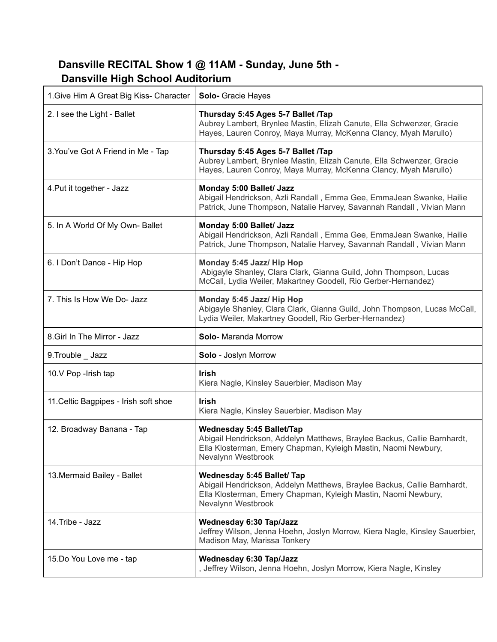## **Dansville RECITAL Show 1 @ 11AM - Sunday, June 5th - Dansville High School Auditorium**

| 1. Give Him A Great Big Kiss- Character | <b>Solo-</b> Gracie Hayes                                                                                                                                                                            |
|-----------------------------------------|------------------------------------------------------------------------------------------------------------------------------------------------------------------------------------------------------|
| 2. I see the Light - Ballet             | Thursday 5:45 Ages 5-7 Ballet /Tap<br>Aubrey Lambert, Brynlee Mastin, Elizah Canute, Ella Schwenzer, Gracie<br>Hayes, Lauren Conroy, Maya Murray, McKenna Clancy, Myah Marullo)                      |
| 3. You've Got A Friend in Me - Tap      | Thursday 5:45 Ages 5-7 Ballet /Tap<br>Aubrey Lambert, Brynlee Mastin, Elizah Canute, Ella Schwenzer, Gracie<br>Hayes, Lauren Conroy, Maya Murray, McKenna Clancy, Myah Marullo)                      |
| 4. Put it together - Jazz               | Monday 5:00 Ballet/ Jazz<br>Abigail Hendrickson, Azli Randall, Emma Gee, EmmaJean Swanke, Hailie<br>Patrick, June Thompson, Natalie Harvey, Savannah Randall, Vivian Mann                            |
| 5. In A World Of My Own- Ballet         | Monday 5:00 Ballet/ Jazz<br>Abigail Hendrickson, Azli Randall, Emma Gee, EmmaJean Swanke, Hailie<br>Patrick, June Thompson, Natalie Harvey, Savannah Randall, Vivian Mann                            |
| 6. I Don't Dance - Hip Hop              | Monday 5:45 Jazz/ Hip Hop<br>Abigayle Shanley, Clara Clark, Gianna Guild, John Thompson, Lucas<br>McCall, Lydia Weiler, Makartney Goodell, Rio Gerber-Hernandez)                                     |
| 7. This Is How We Do- Jazz              | Monday 5:45 Jazz/ Hip Hop<br>Abigayle Shanley, Clara Clark, Gianna Guild, John Thompson, Lucas McCall,<br>Lydia Weiler, Makartney Goodell, Rio Gerber-Hernandez)                                     |
|                                         |                                                                                                                                                                                                      |
| 8. Girl In The Mirror - Jazz            | Solo- Maranda Morrow                                                                                                                                                                                 |
| 9. Trouble _ Jazz                       | Solo - Joslyn Morrow                                                                                                                                                                                 |
| 10.V Pop - Irish tap                    | <b>Irish</b><br>Kiera Nagle, Kinsley Sauerbier, Madison May                                                                                                                                          |
| 11. Celtic Bagpipes - Irish soft shoe   | <b>Irish</b><br>Kiera Nagle, Kinsley Sauerbier, Madison May                                                                                                                                          |
| 12. Broadway Banana - Tap               | <b>Wednesday 5:45 Ballet/Tap</b><br>Abigail Hendrickson, Addelyn Matthews, Braylee Backus, Callie Barnhardt,<br>Ella Klosterman, Emery Chapman, Kyleigh Mastin, Naomi Newbury,<br>Nevalynn Westbrook |
| 13. Mermaid Bailey - Ballet             | Wednesday 5:45 Ballet/ Tap<br>Abigail Hendrickson, Addelyn Matthews, Braylee Backus, Callie Barnhardt,<br>Ella Klosterman, Emery Chapman, Kyleigh Mastin, Naomi Newbury,<br>Nevalynn Westbrook       |
| 14. Tribe - Jazz                        | <b>Wednesday 6:30 Tap/Jazz</b><br>Jeffrey Wilson, Jenna Hoehn, Joslyn Morrow, Kiera Nagle, Kinsley Sauerbier,<br>Madison May, Marissa Tonkery                                                        |